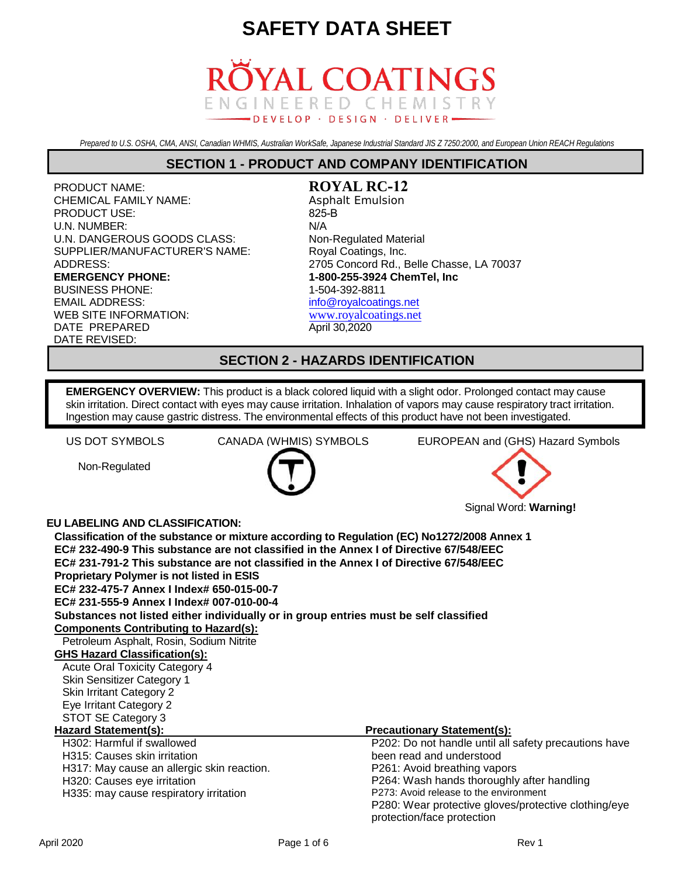

*Prepared to U.S. OSHA, CMA, ANSI, Canadian WHMIS, Australian WorkSafe, Japanese Industrial Standard JIS Z 7250:2000, and European Union REACH Regulations*

#### **SECTION 1 - PRODUCT AND COMPANY IDENTIFICATION**

PRODUCT NAME: CHEMICAL FAMILY NAME: PRODUCT USE: U.N. NUMBER: U.N. DANGEROUS GOODS CLASS: SUPPLIER/MANUFACTURER'S NAME: ADDRESS: **EMERGENCY PHONE:** BUSINESS PHONE: 1-504-392-8811 EMAIL ADDRESS: WEB SITE INFORMATION: DATE PREPARED DATE REVISED:

**ROYAL RC-12** Asphalt Emulsion 825-B N/A Non-Regulated Material Royal Coatings, Inc. 2705 Concord Rd., Belle Chasse, LA 70037 **1-800-255-3924 ChemTel, Inc** [info@royalcoatings.net](mailto:info@royalcoatings.net) [www.royalcoatings.net](http://www.royalcoatings.net/) April 30,2020

#### **SECTION 2 - HAZARDS IDENTIFICATION**

**EMERGENCY OVERVIEW:** This product is a black colored liquid with a slight odor. Prolonged contact may cause skin irritation. Direct contact with eyes may cause irritation. Inhalation of vapors may cause respiratory tract irritation. Ingestion may cause gastric distress. The environmental effects of this product have not been investigated.

Non-Regulated



US DOT SYMBOLS CANADA (WHMIS) SYMBOLS EUROPEAN and (GHS) Hazard Symbols



#### **EU LABELING AND CLASSIFICATION:**

| <u>U LADLLINU AND ULAUUII IUATIUN.</u>                                                      |                                                       |
|---------------------------------------------------------------------------------------------|-------------------------------------------------------|
| Classification of the substance or mixture according to Regulation (EC) No1272/2008 Annex 1 |                                                       |
| EC# 232-490-9 This substance are not classified in the Annex I of Directive 67/548/EEC      |                                                       |
| EC# 231-791-2 This substance are not classified in the Annex I of Directive 67/548/EEC      |                                                       |
| <b>Proprietary Polymer is not listed in ESIS</b>                                            |                                                       |
| EC# 232-475-7 Annex I Index# 650-015-00-7                                                   |                                                       |
| EC# 231-555-9 Annex I Index# 007-010-00-4                                                   |                                                       |
| Substances not listed either individually or in group entries must be self classified       |                                                       |
| <b>Components Contributing to Hazard(s):</b>                                                |                                                       |
| Petroleum Asphalt, Rosin, Sodium Nitrite                                                    |                                                       |
| <b>GHS Hazard Classification(s):</b>                                                        |                                                       |
| <b>Acute Oral Toxicity Category 4</b>                                                       |                                                       |
| Skin Sensitizer Category 1                                                                  |                                                       |
| <b>Skin Irritant Category 2</b>                                                             |                                                       |
| Eye Irritant Category 2                                                                     |                                                       |
| STOT SE Category 3                                                                          |                                                       |
| Hazard Statement(s):                                                                        | <b>Precautionary Statement(s):</b>                    |
| H302: Harmful if swallowed                                                                  | P202: Do not handle until all safety precautions have |
| H315: Causes skin irritation                                                                | been read and understood                              |
| H317: May cause an allergic skin reaction.                                                  | P261: Avoid breathing vapors                          |
| H320: Causes eye irritation                                                                 | P264: Wash hands thoroughly after handling            |
| H335: may cause respiratory irritation                                                      | P273: Avoid release to the environment                |
|                                                                                             | P280: Wear protective gloves/protective clothing/eye  |
|                                                                                             | protection/face protection                            |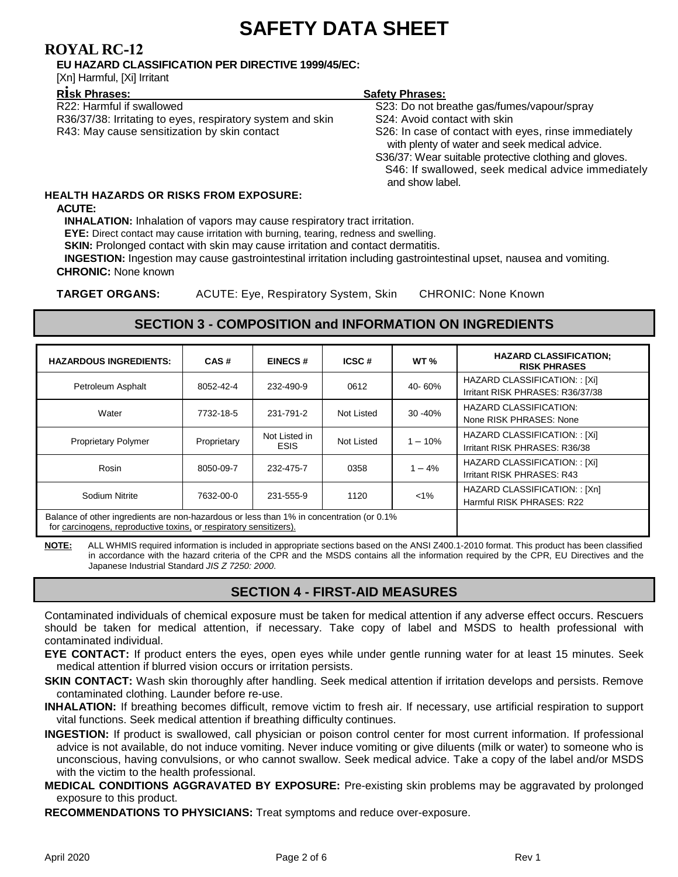### **ROYAL RC-12**

#### **EU HAZARD CLASSIFICATION PER DIRECTIVE 1999/45/EC:**

[Xn] Harmful, [Xi] Irritant

| R22: Harmful if swallowed                                  |
|------------------------------------------------------------|
| R36/37/38: Irritating to eyes, respiratory system and skin |
| R43: May cause sensitization by skin contact               |

#### **<sup>R</sup>isk Phrases: Safety Phrases:**

S23: Do not breathe gas/fumes/vapour/spray

S24: Avoid contact with skin

S26: In case of contact with eyes, rinse immediately with plenty of water and seek medical advice.

S36/37: Wear suitable protective clothing and gloves. S46: If swallowed, seek medical advice immediately and show label.

### **HEALTH HAZARDS OR RISKS FROM EXPOSURE:**

#### **ACUTE:**

**INHALATION:** Inhalation of vapors may cause respiratory tract irritation.

**EYE:** Direct contact may cause irritation with burning, tearing, redness and swelling.

**SKIN:** Prolonged contact with skin may cause irritation and contact dermatitis.

**INGESTION:** Ingestion may cause gastrointestinal irritation including gastrointestinal upset, nausea and vomiting. **CHRONIC:** None known

**TARGET ORGANS:** ACUTE: Eye, Respiratory System, Skin CHRONIC: None Known

### **SECTION 3 - COMPOSITION and INFORMATION ON INGREDIENTS**

| <b>HAZARDOUS INGREDIENTS:</b>                                                                                                                                  | CAS#        | <b>EINECS#</b>               | ICSC#      | WT <sub>%</sub> | <b>HAZARD CLASSIFICATION:</b><br><b>RISK PHRASES</b>              |
|----------------------------------------------------------------------------------------------------------------------------------------------------------------|-------------|------------------------------|------------|-----------------|-------------------------------------------------------------------|
| Petroleum Asphalt                                                                                                                                              | 8052-42-4   | 232-490-9                    | 0612       | 40-60%          | HAZARD CLASSIFICATION: : [Xi]<br>Irritant RISK PHRASES: R36/37/38 |
| Water                                                                                                                                                          | 7732-18-5   | 231-791-2                    | Not Listed | 30 - 40%        | <b>HAZARD CLASSIFICATION:</b><br>None RISK PHRASES: None          |
| <b>Proprietary Polymer</b>                                                                                                                                     | Proprietary | Not Listed in<br><b>ESIS</b> | Not Listed | $-10%$          | HAZARD CLASSIFICATION: : [Xi]<br>Irritant RISK PHRASES: R36/38    |
| Rosin                                                                                                                                                          | 8050-09-7   | 232-475-7                    | 0358       | $1 - 4%$        | HAZARD CLASSIFICATION: : [Xi]<br>Irritant RISK PHRASES: R43       |
| Sodium Nitrite                                                                                                                                                 | 7632-00-0   | 231-555-9                    | 1120       | $< 1\%$         | HAZARD CLASSIFICATION: : [Xn]<br>Harmful RISK PHRASES: R22        |
| Balance of other ingredients are non-hazardous or less than 1% in concentration (or 0.1%<br>for carcinogens, reproductive toxins, or respiratory sensitizers). |             |                              |            |                 |                                                                   |

**NOTE:** ALL WHMIS required information is included in appropriate sections based on the ANSI Z400.1-2010 format. This product has been classified in accordance with the hazard criteria of the CPR and the MSDS contains all the information required by the CPR, EU Directives and the Japanese Industrial Standard *JIS Z 7250: 2000*.

### **SECTION 4 - FIRST-AID MEASURES**

Contaminated individuals of chemical exposure must be taken for medical attention if any adverse effect occurs. Rescuers should be taken for medical attention, if necessary. Take copy of label and MSDS to health professional with contaminated individual.

**EYE CONTACT:** If product enters the eyes, open eyes while under gentle running water for at least 15 minutes. Seek medical attention if blurred vision occurs or irritation persists.

- **SKIN CONTACT:** Wash skin thoroughly after handling. Seek medical attention if irritation develops and persists. Remove contaminated clothing. Launder before re-use.
- **INHALATION:** If breathing becomes difficult, remove victim to fresh air. If necessary, use artificial respiration to support vital functions. Seek medical attention if breathing difficulty continues.

**INGESTION:** If product is swallowed, call physician or poison control center for most current information. If professional advice is not available, do not induce vomiting. Never induce vomiting or give diluents (milk or water) to someone who is unconscious, having convulsions, or who cannot swallow. Seek medical advice. Take a copy of the label and/or MSDS with the victim to the health professional.

**MEDICAL CONDITIONS AGGRAVATED BY EXPOSURE:** Pre-existing skin problems may be aggravated by prolonged exposure to this product.

**RECOMMENDATIONS TO PHYSICIANS:** Treat symptoms and reduce over-exposure.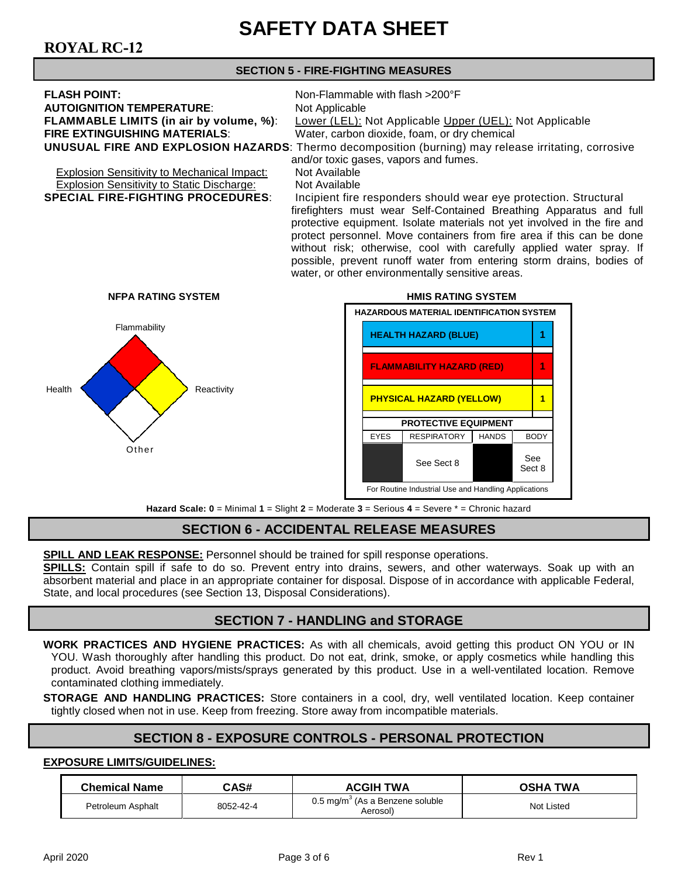## **ROYAL RC-12**

#### **SECTION 5 - FIRE-FIGHTING MEASURES**

| <b>FLASH POINT:</b>                                                                                         | Non-Flammable with flash >200°F                         |  |
|-------------------------------------------------------------------------------------------------------------|---------------------------------------------------------|--|
| <b>AUTOIGNITION TEMPERATURE:</b>                                                                            | Not Applicable                                          |  |
| <b>FLAMMABLE LIMITS (in air by volume, %):</b>                                                              | Lower (LEL): Not Applicable Upper (UEL): Not Applicable |  |
| <b>FIRE EXTINGUISHING MATERIALS:</b>                                                                        | Water, carbon dioxide, foam, or dry chemical            |  |
| <b>UNUSUAL FIRE AND EXPLOSION HAZARDS:</b> Thermo decomposition (burning) may release irritating, corrosive |                                                         |  |
| and/or toxic gases, vapors and fumes.                                                                       |                                                         |  |

Explosion Sensitivity to Mechanical Impact: Not Available<br>Explosion Sensitivity to Static Discharge: Not Available **Explosion Sensitivity to Static Discharge:**<br>**SPECIAL FIRE-FIGHTING PROCEDURES:** 

Incipient fire responders should wear eye protection. Structural firefighters must wear Self-Contained Breathing Apparatus and full protective equipment. Isolate materials not yet involved in the fire and protect personnel. Move containers from fire area if this can be done without risk; otherwise, cool with carefully applied water spray. If possible, prevent runoff water from entering storm drains, bodies of water, or other environmentally sensitive areas.



**Hazard Scale: 0** = Minimal **1** = Slight **2** = Moderate **3** = Serious **4** = Severe \* = Chronic hazard

### **SECTION 6 - ACCIDENTAL RELEASE MEASURES**

**SPILL AND LEAK RESPONSE:** Personnel should be trained for spill response operations.

**SPILLS:** Contain spill if safe to do so. Prevent entry into drains, sewers, and other waterways. Soak up with an absorbent material and place in an appropriate container for disposal. Dispose of in accordance with applicable Federal, State, and local procedures (see Section 13, Disposal Considerations).

### **SECTION 7 - HANDLING and STORAGE**

**WORK PRACTICES AND HYGIENE PRACTICES:** As with all chemicals, avoid getting this product ON YOU or IN YOU. Wash thoroughly after handling this product. Do not eat, drink, smoke, or apply cosmetics while handling this product. Avoid breathing vapors/mists/sprays generated by this product. Use in a well-ventilated location. Remove contaminated clothing immediately.

**STORAGE AND HANDLING PRACTICES:** Store containers in a cool, dry, well ventilated location. Keep container tightly closed when not in use. Keep from freezing. Store away from incompatible materials.

### **SECTION 8 - EXPOSURE CONTROLS - PERSONAL PROTECTION**

#### **EXPOSURE LIMITS/GUIDELINES:**

| <b>Chemical Name</b> | CAS#      | <b>ACGIH TWA</b>                                          | <b>OSHA TWA</b>   |
|----------------------|-----------|-----------------------------------------------------------|-------------------|
| Petroleum Asphalt    | 8052-42-4 | $0.5 \,\mathrm{mq/m}^3$ (As a Benzene soluble<br>Aerosol) | <b>Not Listed</b> |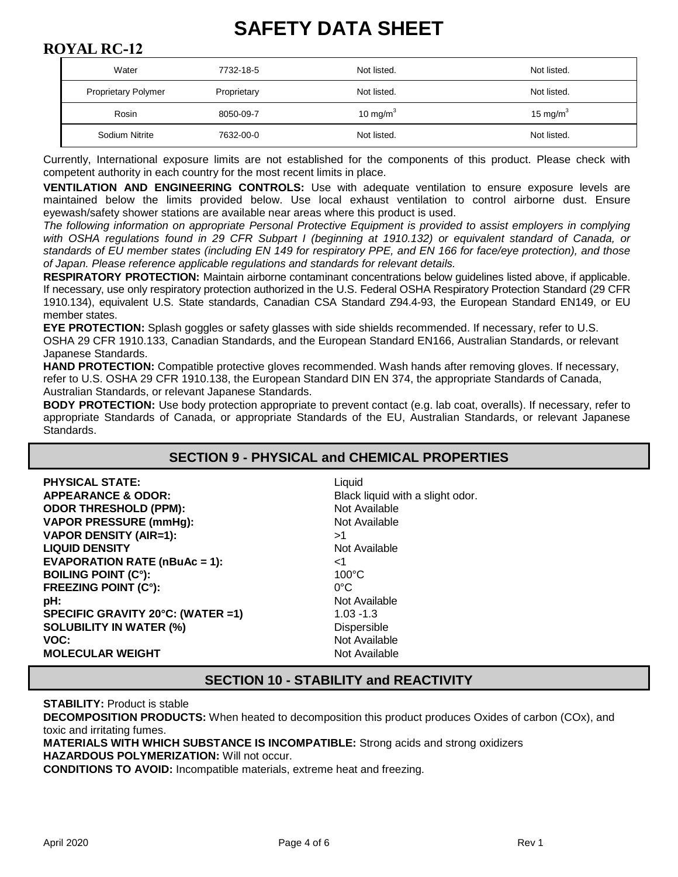### **ROYAL RC-12**

| Water                      | 7732-18-5   | Not listed. | Not listed. |
|----------------------------|-------------|-------------|-------------|
| <b>Proprietary Polymer</b> | Proprietary | Not listed. | Not listed. |
| Rosin                      | 8050-09-7   | 10 mg/m $3$ | 15 mg/m $3$ |
| Sodium Nitrite             | 7632-00-0   | Not listed. | Not listed. |

Currently, International exposure limits are not established for the components of this product. Please check with competent authority in each country for the most recent limits in place.

**VENTILATION AND ENGINEERING CONTROLS:** Use with adequate ventilation to ensure exposure levels are maintained below the limits provided below. Use local exhaust ventilation to control airborne dust. Ensure eyewash/safety shower stations are available near areas where this product is used.

*The following information on appropriate Personal Protective Equipment is provided to assist employers in complying*  with OSHA regulations found in 29 CFR Subpart I (beginning at 1910.132) or equivalent standard of Canada, or *standards of EU member states (including EN 149 for respiratory PPE, and EN 166 for face/eye protection), and those of Japan. Please reference applicable regulations and standards for relevant details.*

**RESPIRATORY PROTECTION:** Maintain airborne contaminant concentrations below guidelines listed above, if applicable. If necessary, use only respiratory protection authorized in the U.S. Federal OSHA Respiratory Protection Standard (29 CFR 1910.134), equivalent U.S. State standards, Canadian CSA Standard Z94.4-93, the European Standard EN149, or EU member states.

**EYE PROTECTION:** Splash goggles or safety glasses with side shields recommended. If necessary, refer to U.S. OSHA 29 CFR 1910.133, Canadian Standards, and the European Standard EN166, Australian Standards, or relevant Japanese Standards.

**HAND PROTECTION:** Compatible protective gloves recommended. Wash hands after removing gloves. If necessary, refer to U.S. OSHA 29 CFR 1910.138, the European Standard DIN EN 374, the appropriate Standards of Canada, Australian Standards, or relevant Japanese Standards.

**BODY PROTECTION:** Use body protection appropriate to prevent contact (e.g. lab coat, overalls). If necessary, refer to appropriate Standards of Canada, or appropriate Standards of the EU, Australian Standards, or relevant Japanese Standards.

#### **SECTION 9 - PHYSICAL and CHEMICAL PROPERTIES**

| <b>PHYSICAL STATE:</b>                            | Liquid                           |
|---------------------------------------------------|----------------------------------|
| <b>APPEARANCE &amp; ODOR:</b>                     | Black liquid with a slight odor. |
| <b>ODOR THRESHOLD (PPM):</b>                      | Not Available                    |
| <b>VAPOR PRESSURE (mmHg):</b>                     | Not Available                    |
| <b>VAPOR DENSITY (AIR=1):</b>                     | >1                               |
| <b>LIQUID DENSITY</b>                             | Not Available                    |
| <b>EVAPORATION RATE (<math>nBuAc = 1</math>):</b> | <1                               |
| <b>BOILING POINT (C°):</b>                        | $100^{\circ}$ C                  |
| <b>FREEZING POINT (C°):</b>                       | $0^{\circ}$ C                    |
| pH:                                               | Not Available                    |
| SPECIFIC GRAVITY 20°C: (WATER =1)                 | $1.03 - 1.3$                     |
| <b>SOLUBILITY IN WATER (%)</b>                    | <b>Dispersible</b>               |
| VOC:                                              | Not Available                    |
| <b>MOLECULAR WEIGHT</b>                           | Not Available                    |

### **SECTION 10 - STABILITY and REACTIVITY**

**STABILITY: Product is stable** 

**DECOMPOSITION PRODUCTS:** When heated to decomposition this product produces Oxides of carbon (COx), and toxic and irritating fumes.

**MATERIALS WITH WHICH SUBSTANCE IS INCOMPATIBLE:** Strong acids and strong oxidizers

**HAZARDOUS POLYMERIZATION:** Will not occur.

**CONDITIONS TO AVOID:** Incompatible materials, extreme heat and freezing.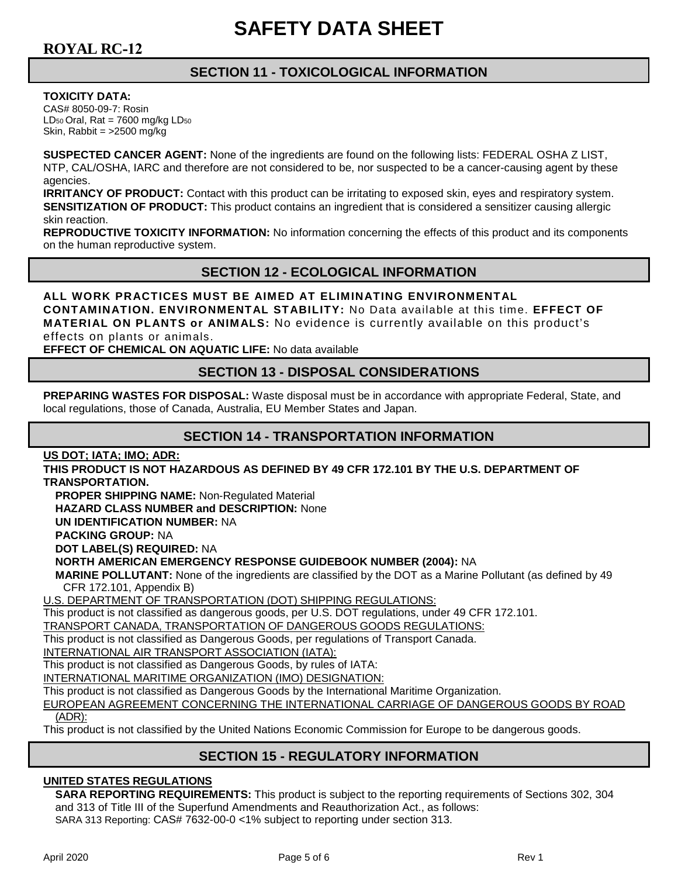### **SECTION 11 - TOXICOLOGICAL INFORMATION**

**TOXICITY DATA:**

CAS# 8050-09-7: Rosin  $LD_{50}$  Oral, Rat = 7600 mg/kg  $LD_{50}$ Skin, Rabbit = >2500 mg/kg

**SUSPECTED CANCER AGENT:** None of the ingredients are found on the following lists: FEDERAL OSHA Z LIST, NTP, CAL/OSHA, IARC and therefore are not considered to be, nor suspected to be a cancer-causing agent by these agencies.

**IRRITANCY OF PRODUCT:** Contact with this product can be irritating to exposed skin, eyes and respiratory system. **SENSITIZATION OF PRODUCT:** This product contains an ingredient that is considered a sensitizer causing allergic skin reaction.

**REPRODUCTIVE TOXICITY INFORMATION:** No information concerning the effects of this product and its components on the human reproductive system.

### **SECTION 12 - ECOLOGICAL INFORMATION**

**ALL WORK PRACTICES MUST BE AIMED AT ELIMINATING ENVIRONMENTAL CONTAMINATION. ENVIRONMENTAL STABILITY:** No Data available at this time. **EFFECT OF MATERIAL ON PLANTS or ANIMALS:** No evidence is currently available on this product's effects on plants or animals.

**EFFECT OF CHEMICAL ON AQUATIC LIFE:** No data available

### **SECTION 13 - DISPOSAL CONSIDERATIONS**

**PREPARING WASTES FOR DISPOSAL:** Waste disposal must be in accordance with appropriate Federal, State, and local regulations, those of Canada, Australia, EU Member States and Japan.

### **SECTION 14 - TRANSPORTATION INFORMATION**

**US DOT; IATA; IMO; ADR:** 

**THIS PRODUCT IS NOT HAZARDOUS AS DEFINED BY 49 CFR 172.101 BY THE U.S. DEPARTMENT OF TRANSPORTATION.**

**PROPER SHIPPING NAME:** Non-Regulated Material

**HAZARD CLASS NUMBER and DESCRIPTION:** None

**UN IDENTIFICATION NUMBER:** NA

**PACKING GROUP:** NA

**DOT LABEL(S) REQUIRED:** NA

#### **NORTH AMERICAN EMERGENCY RESPONSE GUIDEBOOK NUMBER (2004):** NA

**MARINE POLLUTANT:** None of the ingredients are classified by the DOT as a Marine Pollutant (as defined by 49 CFR 172.101, Appendix B)

U.S. DEPARTMENT OF TRANSPORTATION (DOT) SHIPPING REGULATIONS:

This product is not classified as dangerous goods, per U.S. DOT regulations, under 49 CFR 172.101.

TRANSPORT CANADA, TRANSPORTATION OF DANGEROUS GOODS REGULATIONS:

This product is not classified as Dangerous Goods, per regulations of Transport Canada.

INTERNATIONAL AIR TRANSPORT ASSOCIATION (IATA):

This product is not classified as Dangerous Goods, by rules of IATA:

INTERNATIONAL MARITIME ORGANIZATION (IMO) DESIGNATION:

This product is not classified as Dangerous Goods by the International Maritime Organization.

EUROPEAN AGREEMENT CONCERNING THE INTERNATIONAL CARRIAGE OF DANGEROUS GOODS BY ROAD (ADR):

This product is not classified by the United Nations Economic Commission for Europe to be dangerous goods.

### **SECTION 15 - REGULATORY INFORMATION**

#### **UNITED STATES REGULATIONS**

**SARA REPORTING REQUIREMENTS:** This product is subject to the reporting requirements of Sections 302, 304 and 313 of Title III of the Superfund Amendments and Reauthorization Act., as follows: SARA 313 Reporting: CAS# 7632-00-0 <1% subject to reporting under section 313.